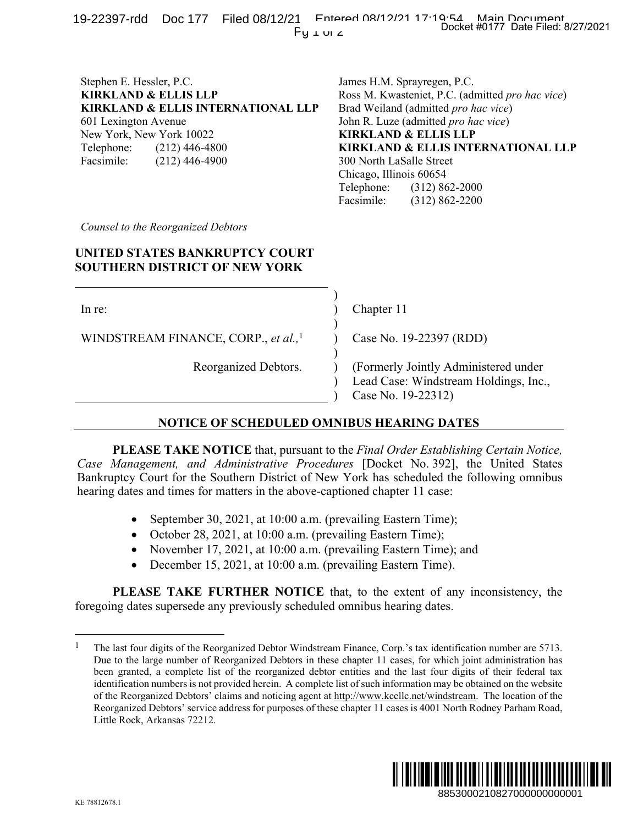| $Fy \perp w \leq$                                                                                                                                                                                                                                                                                                                                                                                                                                                                                                               | Docket #0177 Date Filed: 8/27/2021                                                                                                                                                                                                                                                                                                                                                                                                                                                                                                                                                                                                                                                                       |
|---------------------------------------------------------------------------------------------------------------------------------------------------------------------------------------------------------------------------------------------------------------------------------------------------------------------------------------------------------------------------------------------------------------------------------------------------------------------------------------------------------------------------------|----------------------------------------------------------------------------------------------------------------------------------------------------------------------------------------------------------------------------------------------------------------------------------------------------------------------------------------------------------------------------------------------------------------------------------------------------------------------------------------------------------------------------------------------------------------------------------------------------------------------------------------------------------------------------------------------------------|
| Stephen E. Hessler, P.C.<br><b>KIRKLAND &amp; ELLIS LLP</b><br><b>KIRKLAND &amp; ELLIS INTERNATIONAL LLP</b><br>601 Lexington Avenue<br>New York, New York 10022<br>Telephone:<br>$(212)$ 446-4800<br>Facsimile:<br>$(212)$ 446-4900                                                                                                                                                                                                                                                                                            | James H.M. Sprayregen, P.C.<br>Ross M. Kwasteniet, P.C. (admitted pro hac vice)<br>Brad Weiland (admitted pro hac vice)<br>John R. Luze (admitted pro hac vice)<br><b>KIRKLAND &amp; ELLIS LLP</b><br>KIRKLAND & ELLIS INTERNATIONAL LLP<br>300 North LaSalle Street<br>Chicago, Illinois 60654<br>Telephone:<br>$(312) 862 - 2000$<br>Facsimile:<br>$(312) 862 - 2200$                                                                                                                                                                                                                                                                                                                                  |
| Counsel to the Reorganized Debtors                                                                                                                                                                                                                                                                                                                                                                                                                                                                                              |                                                                                                                                                                                                                                                                                                                                                                                                                                                                                                                                                                                                                                                                                                          |
| UNITED STATES BANKRUPTCY COURT<br>SOUTHERN DISTRICT OF NEW YORK                                                                                                                                                                                                                                                                                                                                                                                                                                                                 |                                                                                                                                                                                                                                                                                                                                                                                                                                                                                                                                                                                                                                                                                                          |
| In re:<br>WINDSTREAM FINANCE, CORP., et al., <sup>1</sup>                                                                                                                                                                                                                                                                                                                                                                                                                                                                       | Chapter 11<br>Case No. 19-22397 (RDD)                                                                                                                                                                                                                                                                                                                                                                                                                                                                                                                                                                                                                                                                    |
| Reorganized Debtors.                                                                                                                                                                                                                                                                                                                                                                                                                                                                                                            | (Formerly Jointly Administered under<br>Lead Case: Windstream Holdings, Inc.,<br>Case No. 19-22312)                                                                                                                                                                                                                                                                                                                                                                                                                                                                                                                                                                                                      |
| NOTICE OF SCHEDULED OMNIBUS HEARING DATES                                                                                                                                                                                                                                                                                                                                                                                                                                                                                       |                                                                                                                                                                                                                                                                                                                                                                                                                                                                                                                                                                                                                                                                                                          |
| Case Management, and Administrative Procedures [Docket No. 392], the United States<br>Bankruptcy Court for the Southern District of New York has scheduled the following omnibus<br>hearing dates and times for matters in the above-captioned chapter 11 case:<br>September 30, 2021, at 10:00 a.m. (prevailing Eastern Time);<br>October 28, 2021, at 10:00 a.m. (prevailing Eastern Time);<br>November 17, 2021, at 10:00 a.m. (prevailing Eastern Time); and<br>December 15, 2021, at 10:00 a.m. (prevailing Eastern Time). | <b>PLEASE TAKE NOTICE</b> that, pursuant to the <i>Final Order Establishing Certain Notice</i> ,                                                                                                                                                                                                                                                                                                                                                                                                                                                                                                                                                                                                         |
| foregoing dates supersede any previously scheduled omnibus hearing dates.                                                                                                                                                                                                                                                                                                                                                                                                                                                       | PLEASE TAKE FURTHER NOTICE that, to the extent of any inconsistency, the                                                                                                                                                                                                                                                                                                                                                                                                                                                                                                                                                                                                                                 |
| Little Rock, Arkansas 72212.                                                                                                                                                                                                                                                                                                                                                                                                                                                                                                    | The last four digits of the Reorganized Debtor Windstream Finance, Corp.'s tax identification number are 5713.<br>Due to the large number of Reorganized Debtors in these chapter 11 cases, for which joint administration has<br>been granted, a complete list of the reorganized debtor entities and the last four digits of their federal tax<br>identification numbers is not provided herein. A complete list of such information may be obtained on the website<br>of the Reorganized Debtors' claims and noticing agent at http://www.kccllc.net/windstream. The location of the<br>Reorganized Debtors' service address for purposes of these chapter 11 cases is 4001 North Rodney Parham Road, |
|                                                                                                                                                                                                                                                                                                                                                                                                                                                                                                                                 | 8853000210827000000000001                                                                                                                                                                                                                                                                                                                                                                                                                                                                                                                                                                                                                                                                                |

## **UNITED STATES BANKRUPTCY COURT SOUTHERN DISTRICT OF NEW YORK**

## **NOTICE OF SCHEDULED OMNIBUS HEARING DATES**

- September 30, 2021, at 10:00 a.m. (prevailing Eastern Time);
- October 28, 2021, at 10:00 a.m. (prevailing Eastern Time);
- November 17, 2021, at 10:00 a.m. (prevailing Eastern Time); and
- December 15, 2021, at 10:00 a.m. (prevailing Eastern Time).

<sup>&</sup>lt;sup>1</sup> The last four digits of the Reorganized Debtor Windstream Finance, Corp.'s tax identification number are 5713. Due to the large number of Reorganized Debtors in these chapter 11 cases, for which joint administration has been granted, a complete list of the reorganized debtor entities and the last four digits of their federal tax identification numbers is not provided herein. A complete list of such information may be obtained on the website of the Reorganized Debtors' claims and noticing agent at http://www.kccllc.net/windstream. The location of the Reorganized Debtors' service address for purposes of these chapter 11 cases is 4001 North Rodney Parham Road, Little Rock, Arkansas 72212.